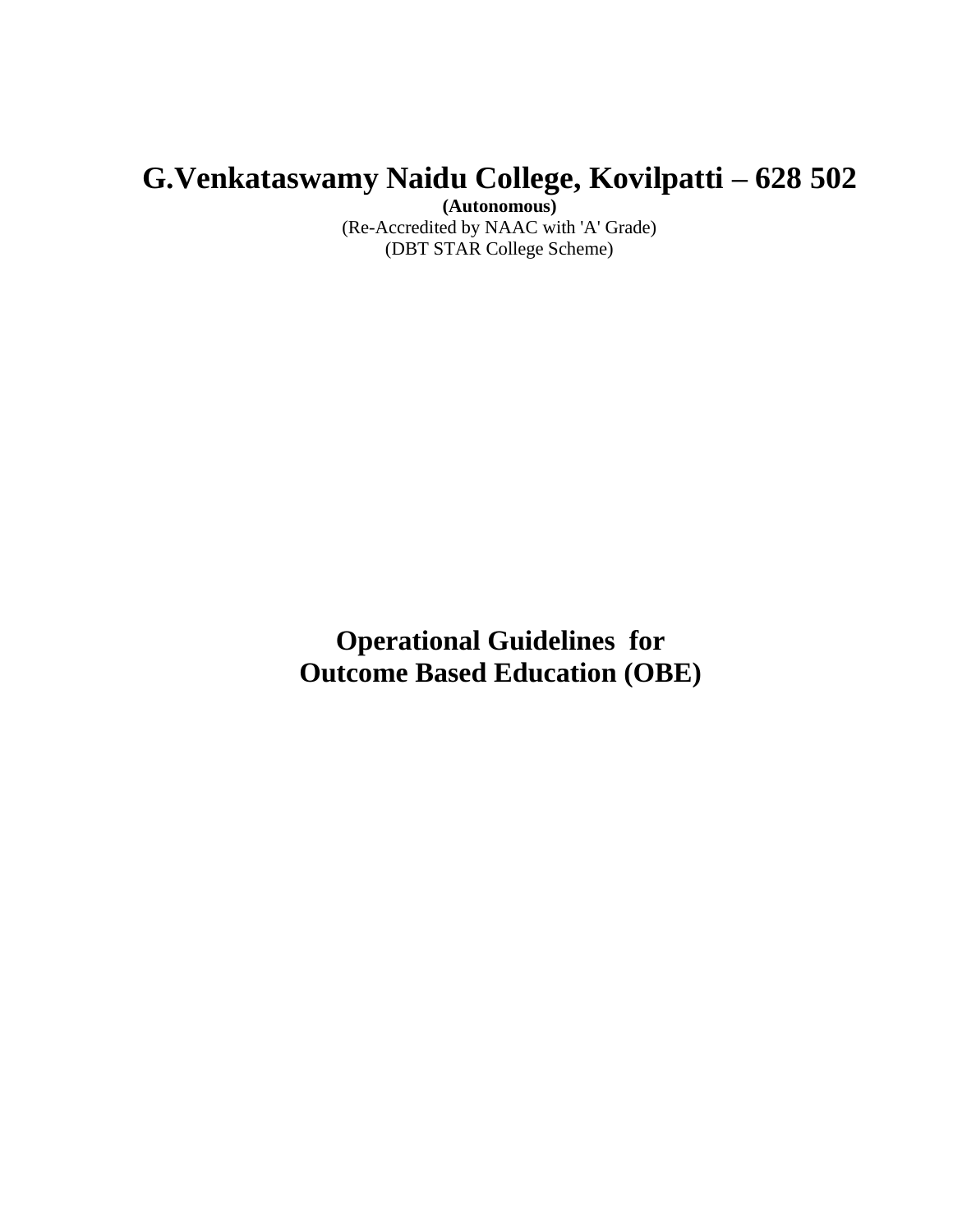# **G.Venkataswamy Naidu College, Kovilpatti – 628 502**

**(Autonomous)**

(Re-Accredited by NAAC with 'A' Grade) (DBT STAR College Scheme)

**Operational Guidelines for Outcome Based Education (OBE)**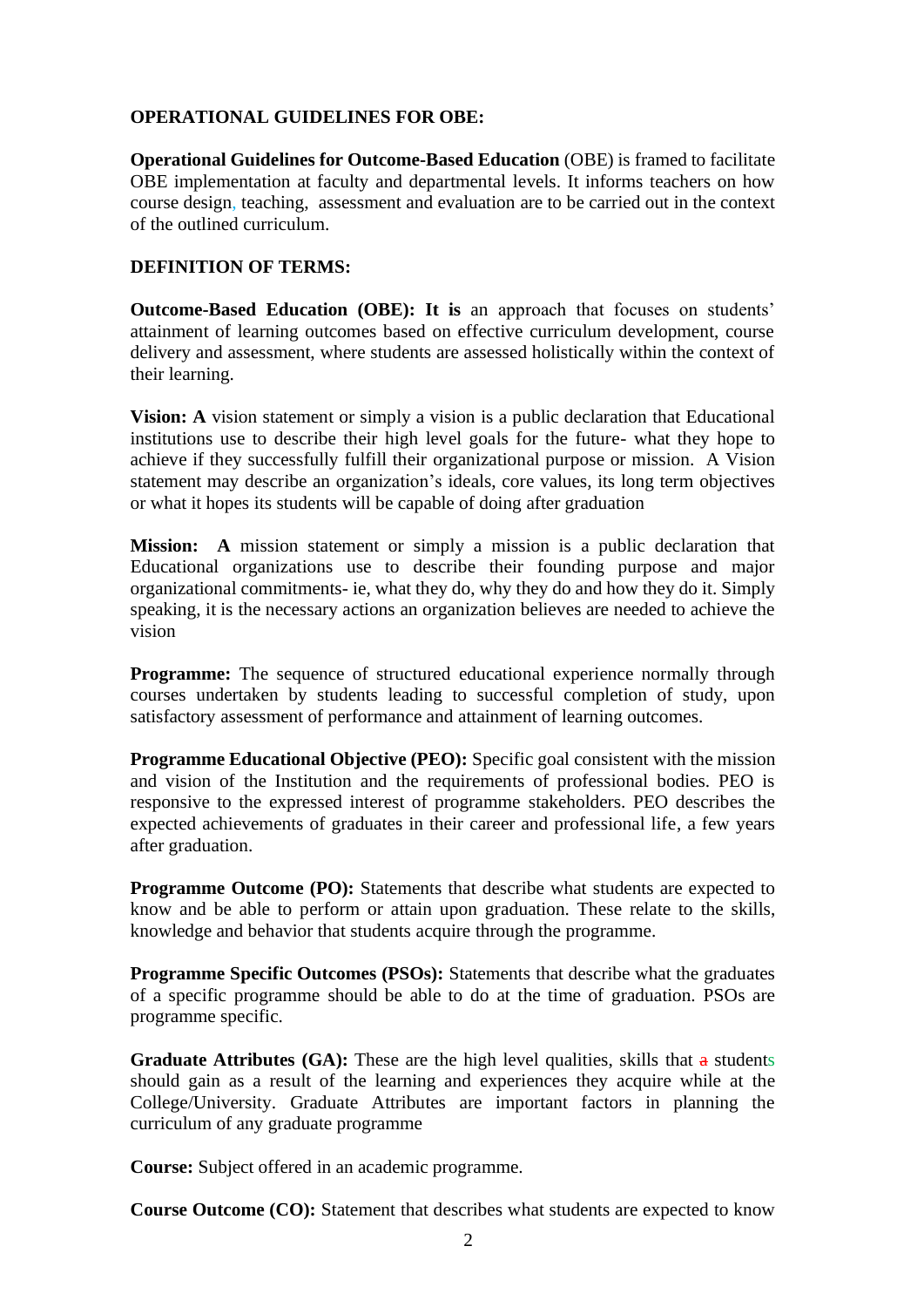## **OPERATIONAL GUIDELINES FOR OBE:**

**Operational Guidelines for Outcome-Based Education** (OBE) is framed to facilitate OBE implementation at faculty and departmental levels. It informs teachers on how course design, teaching, assessment and evaluation are to be carried out in the context of the outlined curriculum.

## **DEFINITION OF TERMS:**

**Outcome-Based Education (OBE): It is** an approach that focuses on students' attainment of learning outcomes based on effective curriculum development, course delivery and assessment, where students are assessed holistically within the context of their learning.

**Vision: A** vision statement or simply a vision is a public declaration that Educational institutions use to describe their high level goals for the future- what they hope to achieve if they successfully fulfill their organizational purpose or mission. A Vision statement may describe an organization's ideals, core values, its long term objectives or what it hopes its students will be capable of doing after graduation

**Mission: A** mission statement or simply a mission is a public declaration that Educational organizations use to describe their founding purpose and major organizational commitments- ie, what they do, why they do and how they do it. Simply speaking, it is the necessary actions an organization believes are needed to achieve the vision

**Programme:** The sequence of structured educational experience normally through courses undertaken by students leading to successful completion of study, upon satisfactory assessment of performance and attainment of learning outcomes.

**Programme Educational Objective (PEO):** Specific goal consistent with the mission and vision of the Institution and the requirements of professional bodies. PEO is responsive to the expressed interest of programme stakeholders. PEO describes the expected achievements of graduates in their career and professional life, a few years after graduation.

**Programme Outcome (PO):** Statements that describe what students are expected to know and be able to perform or attain upon graduation. These relate to the skills, knowledge and behavior that students acquire through the programme.

**Programme Specific Outcomes (PSOs):** Statements that describe what the graduates of a specific programme should be able to do at the time of graduation. PSOs are programme specific.

**Graduate Attributes** (GA): These are the high level qualities, skills that a students should gain as a result of the learning and experiences they acquire while at the College/University. Graduate Attributes are important factors in planning the curriculum of any graduate programme

**Course:** Subject offered in an academic programme.

**Course Outcome (CO):** Statement that describes what students are expected to know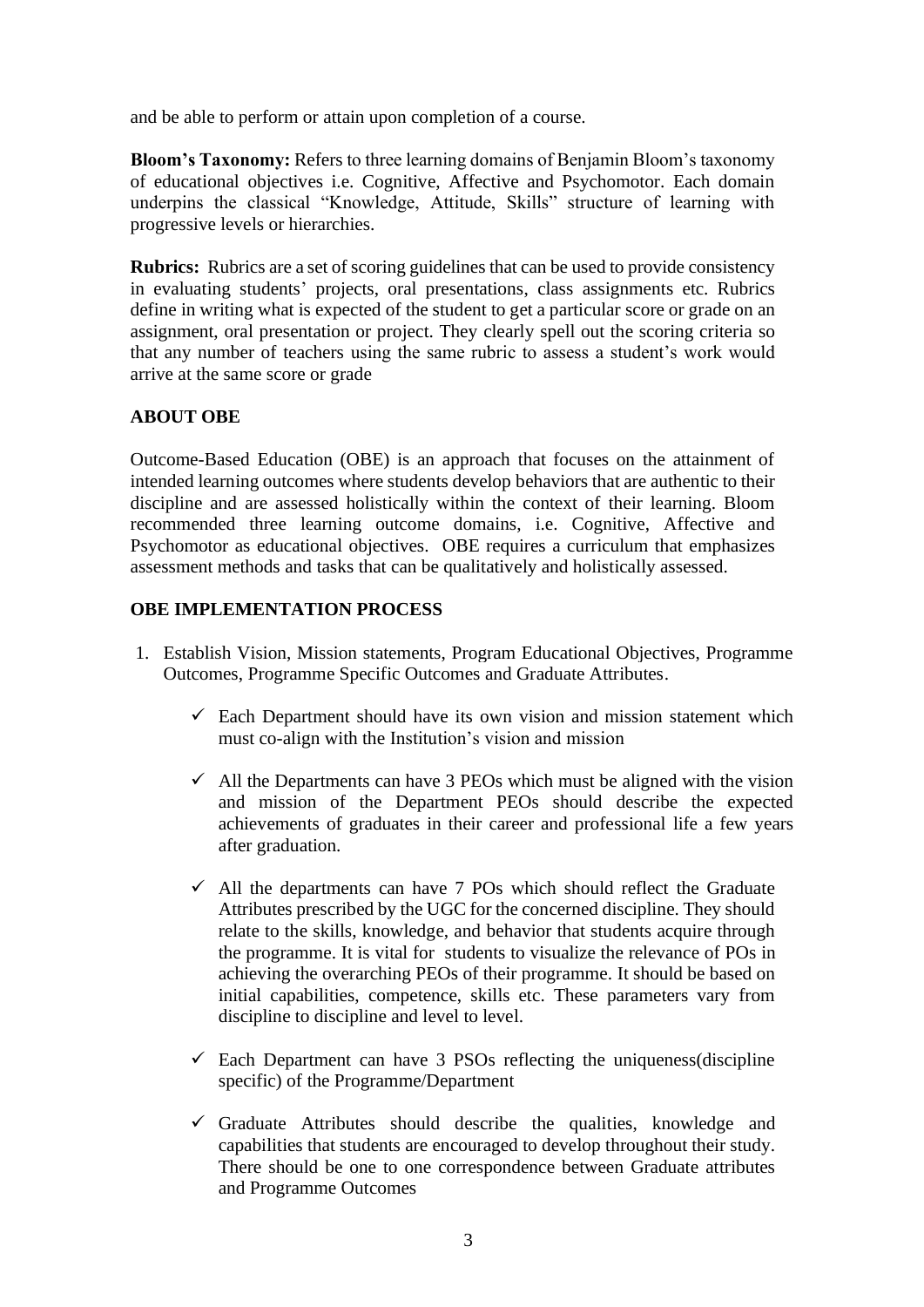and be able to perform or attain upon completion of a course.

**Bloom's Taxonomy:** Refers to three learning domains of Benjamin Bloom's taxonomy of educational objectives i.e. Cognitive, Affective and Psychomotor. Each domain underpins the classical "Knowledge, Attitude, Skills" structure of learning with progressive levels or hierarchies.

**Rubrics:** Rubrics are a set of scoring guidelines that can be used to provide consistency in evaluating students' projects, oral presentations, class assignments etc. Rubrics define in writing what is expected of the student to get a particular score or grade on an assignment, oral presentation or project. They clearly spell out the scoring criteria so that any number of teachers using the same rubric to assess a student's work would arrive at the same score or grade

# **ABOUT OBE**

Outcome-Based Education (OBE) is an approach that focuses on the attainment of intended learning outcomes where students develop behaviors that are authentic to their discipline and are assessed holistically within the context of their learning. Bloom recommended three learning outcome domains, i.e. Cognitive, Affective and Psychomotor as educational objectives. OBE requires a curriculum that emphasizes assessment methods and tasks that can be qualitatively and holistically assessed.

## **OBE IMPLEMENTATION PROCESS**

- 1. Establish Vision, Mission statements, Program Educational Objectives, Programme Outcomes, Programme Specific Outcomes and Graduate Attributes.
	- $\checkmark$  Each Department should have its own vision and mission statement which must co-align with the Institution's vision and mission
	- $\checkmark$  All the Departments can have 3 PEOs which must be aligned with the vision and mission of the Department PEOs should describe the expected achievements of graduates in their career and professional life a few years after graduation.
	- $\checkmark$  All the departments can have 7 POs which should reflect the Graduate Attributes prescribed by the UGC for the concerned discipline. They should relate to the skills, knowledge, and behavior that students acquire through the programme. It is vital for students to visualize the relevance of POs in achieving the overarching PEOs of their programme. It should be based on initial capabilities, competence, skills etc. These parameters vary from discipline to discipline and level to level.
	- $\checkmark$  Each Department can have 3 PSOs reflecting the uniqueness (discipline specific) of the Programme/Department
	- $\checkmark$  Graduate Attributes should describe the qualities, knowledge and capabilities that students are encouraged to develop throughout their study. There should be one to one correspondence between Graduate attributes and Programme Outcomes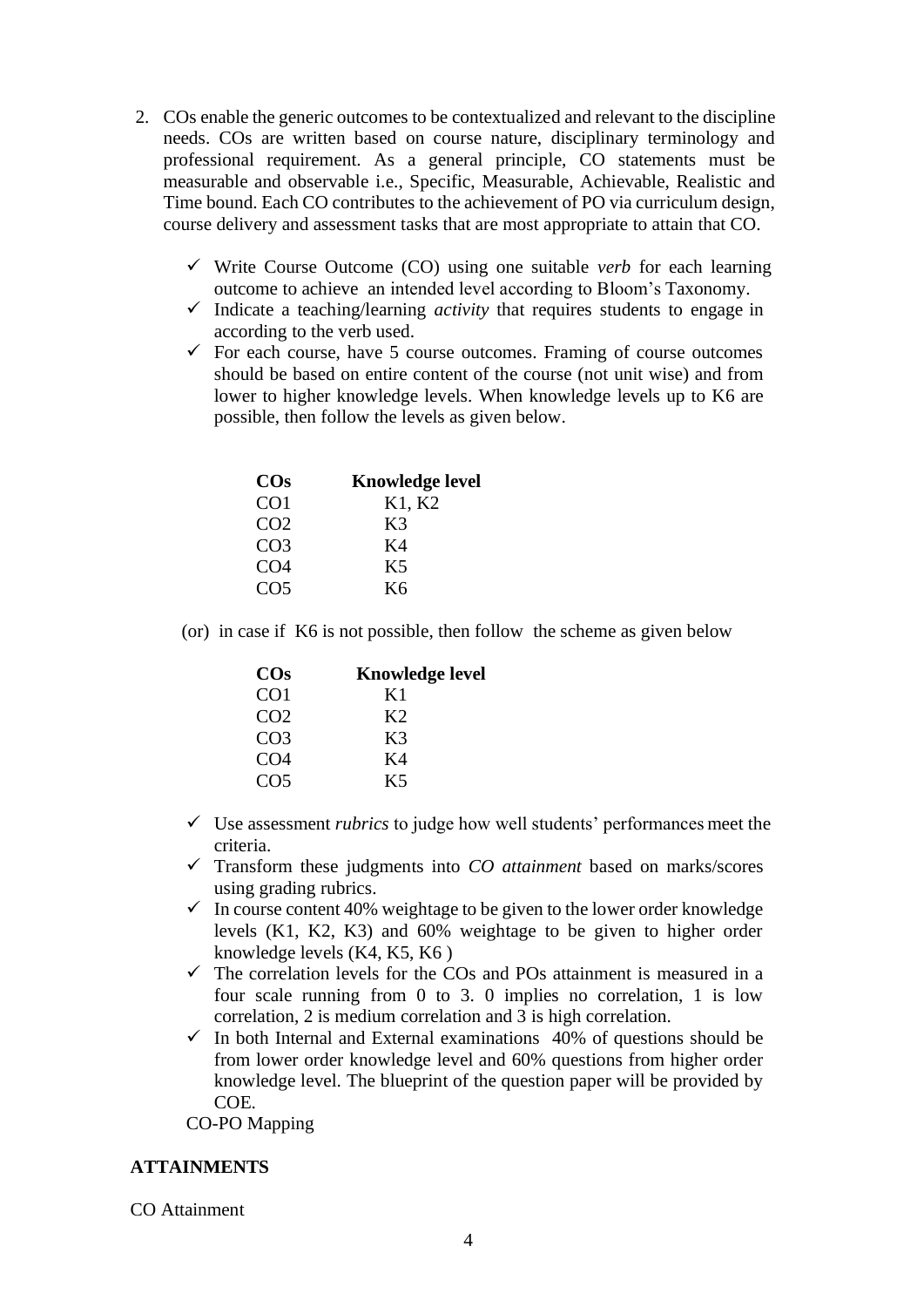- 2. COs enable the generic outcomes to be contextualized and relevant to the discipline needs. COs are written based on course nature, disciplinary terminology and professional requirement. As a general principle, CO statements must be measurable and observable i.e., Specific, Measurable, Achievable, Realistic and Time bound. Each CO contributes to the achievement of PO via curriculum design, course delivery and assessment tasks that are most appropriate to attain that CO.
	- ✓ Write Course Outcome (CO) using one suitable *verb* for each learning outcome to achieve an intended level according to Bloom's Taxonomy.
	- $\checkmark$  Indicate a teaching/learning *activity* that requires students to engage in according to the verb used.
	- $\checkmark$  For each course, have 5 course outcomes. Framing of course outcomes should be based on entire content of the course (not unit wise) and from lower to higher knowledge levels. When knowledge levels up to K6 are possible, then follow the levels as given below.

| $\cos$          | <b>Knowledge level</b> |
|-----------------|------------------------|
| CO <sub>1</sub> | K1, K2                 |
| CO <sub>2</sub> | K3                     |
| CO <sub>3</sub> | K4                     |
| CO <sub>4</sub> | K <sub>5</sub>         |
| CO <sub>5</sub> | K6                     |

(or) in case if K6 is not possible, then follow the scheme as given below

| $\cos$          | <b>Knowledge level</b> |
|-----------------|------------------------|
| CO <sub>1</sub> | K <sub>1</sub>         |
| CO <sub>2</sub> | K <sub>2</sub>         |
| CO <sub>3</sub> | K3                     |
| CO <sub>4</sub> | K4                     |
| CO <sub>5</sub> | K5                     |

- ✓ Use assessment *rubrics* to judge how well students' performances meet the criteria.
- ✓ Transform these judgments into *CO attainment* based on marks/scores using grading rubrics.
- $\checkmark$  In course content 40% weightage to be given to the lower order knowledge levels (K1, K2, K3) and 60% weightage to be given to higher order knowledge levels (K4, K5, K6 )
- $\checkmark$  The correlation levels for the COs and POs attainment is measured in a four scale running from 0 to 3. 0 implies no correlation, 1 is low correlation, 2 is medium correlation and 3 is high correlation.
- $\checkmark$  In both Internal and External examinations 40% of questions should be from lower order knowledge level and 60% questions from higher order knowledge level. The blueprint of the question paper will be provided by COE.

CO-PO Mapping

## **ATTAINMENTS**

CO Attainment